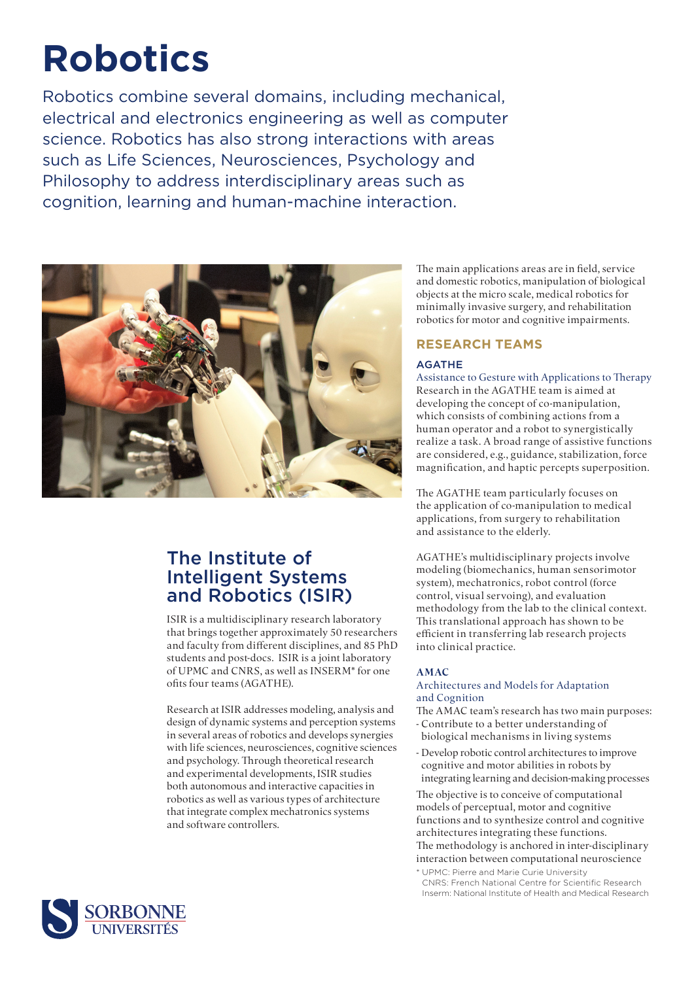# **Robotics**

Robotics combine several domains, including mechanical, electrical and electronics engineering as well as computer science. Robotics has also strong interactions with areas such as Life Sciences, Neurosciences, Psychology and Philosophy to address interdisciplinary areas such as cognition, learning and human-machine interaction.



## The Institute of Intelligent Systems and Robotics (ISIR)

ISIR is a multidisciplinary research laboratory that brings together approximately 50 researchers and faculty from different disciplines, and 85 PhD students and post-docs. ISIR is a joint laboratory of UPMC and CNRS, as well as INSERM\* for one ofits four teams (AGATHE).

Research at ISIR addresses modeling, analysis and design of dynamic systems and perception systems in several areas of robotics and develops synergies with life sciences, neurosciences, cognitive sciences and psychology. Through theoretical research and experimental developments, ISIR studies both autonomous and interactive capacities in robotics as well as various types of architecture that integrate complex mechatronics systems and software controllers.

The main applications areas are in field, service and domestic robotics, manipulation of biological objects at the micro scale, medical robotics for minimally invasive surgery, and rehabilitation robotics for motor and cognitive impairments.

#### **RESEARCH TEAMS**

#### AGATHE

Assistance to Gesture with Applications to Therapy Research in the AGATHE team is aimed at developing the concept of co-manipulation, which consists of combining actions from a human operator and a robot to synergistically realize a task. A broad range of assistive functions are considered, e.g., guidance, stabilization, force magnification, and haptic percepts superposition.

The AGATHE team particularly focuses on the application of co-manipulation to medical applications, from surgery to rehabilitation and assistance to the elderly.

AGATHE's multidisciplinary projects involve modeling (biomechanics, human sensorimotor system), mechatronics, robot control (force control, visual servoing), and evaluation methodology from the lab to the clinical context. This translational approach has shown to be efficient in transferring lab research projects into clinical practice.

#### **AMAC**

#### Architectures and Models for Adaptation and Cognition

- The AMAC team's research has two main purposes:
- Contribute to a better understanding of biological mechanisms in living systems
- Develop robotic control architectures to improve cognitive and motor abilities in robots by integrating learning and decision-making processes

The objective is to conceive of computational models of perceptual, motor and cognitive functions and to synthesize control and cognitive architectures integrating these functions. The methodology is anchored in inter-disciplinary interaction between computational neuroscience

\* UPMC: Pierre and Marie Curie University CNRS: French National Centre for Scientific Research Inserm: National Institute of Health and Medical Research